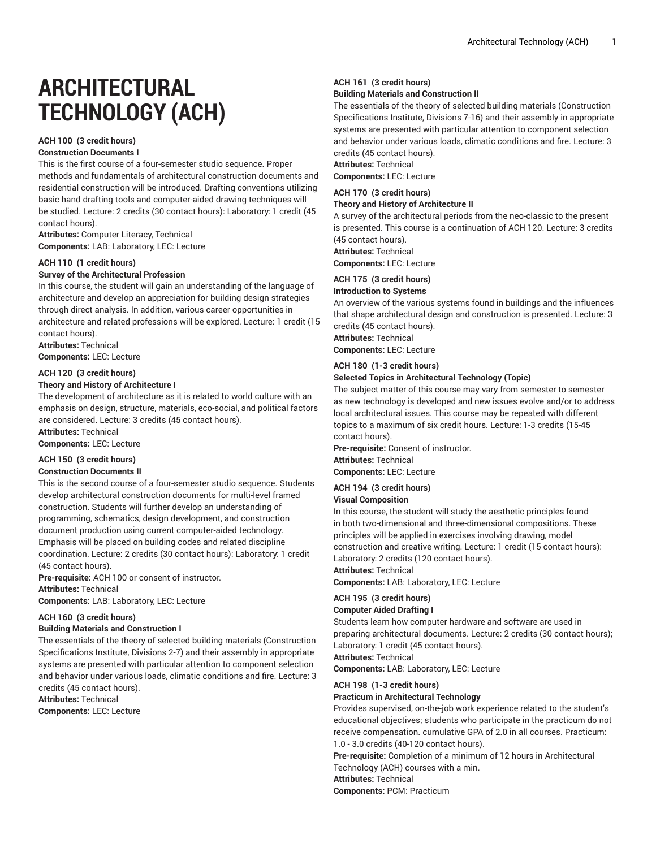# **ARCHITECTURAL TECHNOLOGY (ACH)**

# **ACH 100 (3 credit hours)**

### **Construction Documents I**

This is the first course of a four-semester studio sequence. Proper methods and fundamentals of architectural construction documents and residential construction will be introduced. Drafting conventions utilizing basic hand drafting tools and computer-aided drawing techniques will be studied. Lecture: 2 credits (30 contact hours): Laboratory: 1 credit (45 contact hours).

**Attributes:** Computer Literacy, Technical **Components:** LAB: Laboratory, LEC: Lecture

#### **ACH 110 (1 credit hours)**

#### **Survey of the Architectural Profession**

In this course, the student will gain an understanding of the language of architecture and develop an appreciation for building design strategies through direct analysis. In addition, various career opportunities in architecture and related professions will be explored. Lecture: 1 credit (15 contact hours).

**Attributes:** Technical **Components:** LEC: Lecture

#### **ACH 120 (3 credit hours)**

#### **Theory and History of Architecture I**

The development of architecture as it is related to world culture with an emphasis on design, structure, materials, eco-social, and political factors are considered. Lecture: 3 credits (45 contact hours).

**Attributes:** Technical

**Components:** LEC: Lecture

#### **ACH 150 (3 credit hours)**

#### **Construction Documents II**

This is the second course of a four-semester studio sequence. Students develop architectural construction documents for multi-level framed construction. Students will further develop an understanding of programming, schematics, design development, and construction document production using current computer-aided technology. Emphasis will be placed on building codes and related discipline coordination. Lecture: 2 credits (30 contact hours): Laboratory: 1 credit (45 contact hours).

**Pre-requisite:** ACH 100 or consent of instructor.

**Attributes:** Technical

**Components:** LAB: Laboratory, LEC: Lecture

#### **ACH 160 (3 credit hours)**

#### **Building Materials and Construction I**

The essentials of the theory of selected building materials (Construction Specifications Institute, Divisions 2-7) and their assembly in appropriate systems are presented with particular attention to component selection and behavior under various loads, climatic conditions and fire. Lecture: 3 credits (45 contact hours).

**Attributes:** Technical

**Components:** LEC: Lecture

#### **ACH 161 (3 credit hours)**

#### **Building Materials and Construction II**

The essentials of the theory of selected building materials (Construction Specifications Institute, Divisions 7-16) and their assembly in appropriate systems are presented with particular attention to component selection and behavior under various loads, climatic conditions and fire. Lecture: 3 credits (45 contact hours).

**Attributes:** Technical

# **Components:** LEC: Lecture

**ACH 170 (3 credit hours)**

**Theory and History of Architecture II**

A survey of the architectural periods from the neo-classic to the present is presented. This course is a continuation of ACH 120. Lecture: 3 credits (45 contact hours).

**Attributes:** Technical

**Components:** LEC: Lecture

### **ACH 175 (3 credit hours)**

#### **Introduction to Systems**

An overview of the various systems found in buildings and the influences that shape architectural design and construction is presented. Lecture: 3 credits (45 contact hours).

**Attributes:** Technical

**Components:** LEC: Lecture

# **ACH 180 (1-3 credit hours)**

# **Selected Topics in Architectural Technology (Topic)**

The subject matter of this course may vary from semester to semester as new technology is developed and new issues evolve and/or to address local architectural issues. This course may be repeated with different topics to a maximum of six credit hours. Lecture: 1-3 credits (15-45 contact hours).

**Pre-requisite:** Consent of instructor. **Attributes:** Technical **Components:** LEC: Lecture

# **ACH 194 (3 credit hours)**

#### **Visual Composition**

In this course, the student will study the aesthetic principles found in both two-dimensional and three-dimensional compositions. These principles will be applied in exercises involving drawing, model construction and creative writing. Lecture: 1 credit (15 contact hours): Laboratory: 2 credits (120 contact hours).

**Attributes:** Technical

**Components:** LAB: Laboratory, LEC: Lecture

#### **ACH 195 (3 credit hours)**

#### **Computer Aided Drafting I**

Students learn how computer hardware and software are used in preparing architectural documents. Lecture: 2 credits (30 contact hours); Laboratory: 1 credit (45 contact hours). **Attributes:** Technical

**Components:** LAB: Laboratory, LEC: Lecture

#### **ACH 198 (1-3 credit hours)**

#### **Practicum in Architectural Technology**

Provides supervised, on-the-job work experience related to the student's educational objectives; students who participate in the practicum do not receive compensation. cumulative GPA of 2.0 in all courses. Practicum: 1.0 - 3.0 credits (40-120 contact hours).

**Pre-requisite:** Completion of a minimum of 12 hours in Architectural Technology (ACH) courses with a min. **Attributes:** Technical

**Components:** PCM: Practicum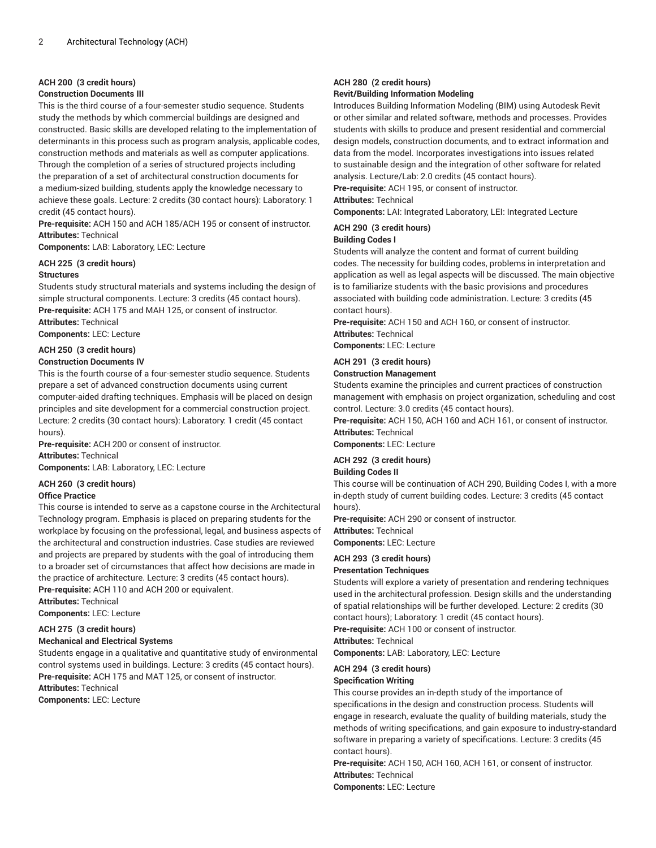#### **ACH 200 (3 credit hours)**

#### **Construction Documents III**

This is the third course of a four-semester studio sequence. Students study the methods by which commercial buildings are designed and constructed. Basic skills are developed relating to the implementation of determinants in this process such as program analysis, applicable codes, construction methods and materials as well as computer applications. Through the completion of a series of structured projects including the preparation of a set of architectural construction documents for

a medium-sized building, students apply the knowledge necessary to achieve these goals. Lecture: 2 credits (30 contact hours): Laboratory: 1 credit (45 contact hours).

**Pre-requisite:** ACH 150 and ACH 185/ACH 195 or consent of instructor. **Attributes:** Technical

**Components:** LAB: Laboratory, LEC: Lecture

#### **ACH 225 (3 credit hours) Structures**

Students study structural materials and systems including the design of simple structural components. Lecture: 3 credits (45 contact hours). **Pre-requisite:** ACH 175 and MAH 125, or consent of instructor.

**Attributes:** Technical

**Components:** LEC: Lecture

#### **ACH 250 (3 credit hours) Construction Documents IV**

#### This is the fourth course of a four-semester studio sequence. Students prepare a set of advanced construction documents using current computer-aided drafting techniques. Emphasis will be placed on design principles and site development for a commercial construction project. Lecture: 2 credits (30 contact hours): Laboratory: 1 credit (45 contact hours).

**Pre-requisite:** ACH 200 or consent of instructor. **Attributes:** Technical

**Components:** LAB: Laboratory, LEC: Lecture

#### **ACH 260 (3 credit hours)**

#### **Office Practice**

This course is intended to serve as a capstone course in the Architectural Technology program. Emphasis is placed on preparing students for the workplace by focusing on the professional, legal, and business aspects of the architectural and construction industries. Case studies are reviewed and projects are prepared by students with the goal of introducing them to a broader set of circumstances that affect how decisions are made in the practice of architecture. Lecture: 3 credits (45 contact hours). **Pre-requisite:** ACH 110 and ACH 200 or equivalent.

**Attributes:** Technical **Components:** LEC: Lecture

# **ACH 275 (3 credit hours)**

**Mechanical and Electrical Systems**

Students engage in a qualitative and quantitative study of environmental control systems used in buildings. Lecture: 3 credits (45 contact hours). **Pre-requisite:** ACH 175 and MAT 125, or consent of instructor.

**Attributes:** Technical

**Components:** LEC: Lecture

#### **ACH 280 (2 credit hours) Revit/Building Information Modeling**

Introduces Building Information Modeling (BIM) using Autodesk Revit or other similar and related software, methods and processes. Provides students with skills to produce and present residential and commercial design models, construction documents, and to extract information and data from the model. Incorporates investigations into issues related to sustainable design and the integration of other software for related analysis. Lecture/Lab: 2.0 credits (45 contact hours). **Pre-requisite:** ACH 195, or consent of instructor.

**Attributes:** Technical

**Components:** LAI: Integrated Laboratory, LEI: Integrated Lecture

# **ACH 290 (3 credit hours)**

#### **Building Codes I**

Students will analyze the content and format of current building codes. The necessity for building codes, problems in interpretation and application as well as legal aspects will be discussed. The main objective is to familiarize students with the basic provisions and procedures associated with building code administration. Lecture: 3 credits (45 contact hours).

**Pre-requisite:** ACH 150 and ACH 160, or consent of instructor. **Attributes:** Technical

**Components:** LEC: Lecture

#### **ACH 291 (3 credit hours)**

#### **Construction Management**

Students examine the principles and current practices of construction management with emphasis on project organization, scheduling and cost control. Lecture: 3.0 credits (45 contact hours).

**Pre-requisite:** ACH 150, ACH 160 and ACH 161, or consent of instructor. **Attributes:** Technical

**Components:** LEC: Lecture

#### **ACH 292 (3 credit hours)**

#### **Building Codes II**

This course will be continuation of ACH 290, Building Codes I, with a more in-depth study of current building codes. Lecture: 3 credits (45 contact hours).

**Pre-requisite:** ACH 290 or consent of instructor.

**Attributes:** Technical **Components:** LEC: Lecture

# **ACH 293 (3 credit hours)**

### **Presentation Techniques**

Students will explore a variety of presentation and rendering techniques used in the architectural profession. Design skills and the understanding of spatial relationships will be further developed. Lecture: 2 credits (30 contact hours); Laboratory: 1 credit (45 contact hours).

**Pre-requisite:** ACH 100 or consent of instructor.

**Attributes:** Technical

**Components:** LAB: Laboratory, LEC: Lecture

# **ACH 294 (3 credit hours)**

#### **Specification Writing**

This course provides an in-depth study of the importance of specifications in the design and construction process. Students will engage in research, evaluate the quality of building materials, study the methods of writing specifications, and gain exposure to industry-standard software in preparing a variety of specifications. Lecture: 3 credits (45 contact hours).

**Pre-requisite:** ACH 150, ACH 160, ACH 161, or consent of instructor. **Attributes:** Technical

**Components:** LEC: Lecture